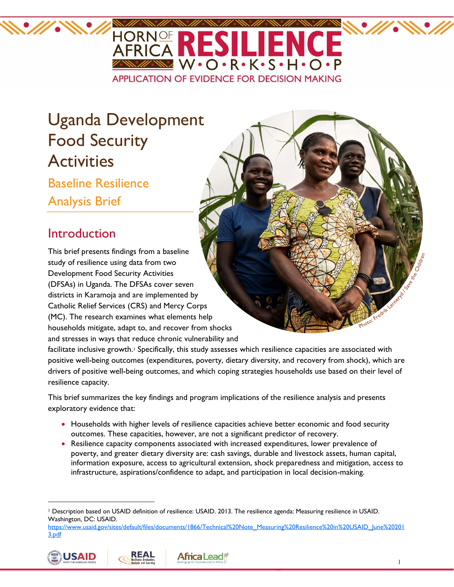

# Uganda Development Food Security **Activities**

Baseline Resilience Analysis Brief

# Introduction

This brief presents findings from a baseline study of resilience using data from two Development Food Security Activities (DFSAs) in Uganda. The DFSAs cover seven districts in Karamoja and are implemented by Catholic Relief Services (CRS) and Mercy Corps (MC). The research examines what elements help households mitigate, adapt to, and recover from shocks and stresses in ways that reduce chronic vulnerability and

facilitate inclusive growth.<sup>1</sup> Specifically, this study assesses which resilience capacities are associated with positive well-being outcomes (expenditures, poverty, dietary diversity, and recovery from shock), which are drivers of positive well-being outcomes, and which coping strategies households use based on their level of resilience capacity.

This brief summarizes the key findings and program implications of the resilience analysis and presents exploratory evidence that:

- Households with higher levels of resilience capacities achieve better economic and food security outcomes. These capacities, however, are not a significant predictor of recovery.
- Resilience capacity components associated with increased expenditures, lower prevalence of poverty, and greater dietary diversity are: cash savings, durable and livestock assets, human capital, information exposure, access to agricultural extension, shock preparedness and mitigation, access to infrastructure, aspirations/confidence to adapt, and participation in local decision-making.

Africa Lead\*

[https://www.usaid.gov/sites/default/f](https://www.usaid.gov/sites/default/)iles/documents/1866/Technical%20Note\_Measuring%20Resilience%20in%20USAID\_June%20201 3.pdf







<sup>1</sup> Description based on USAID definition of resilience: USAID. 2013. The resilience agenda: Measuring resilience in USAID. Washington, DC: USAID.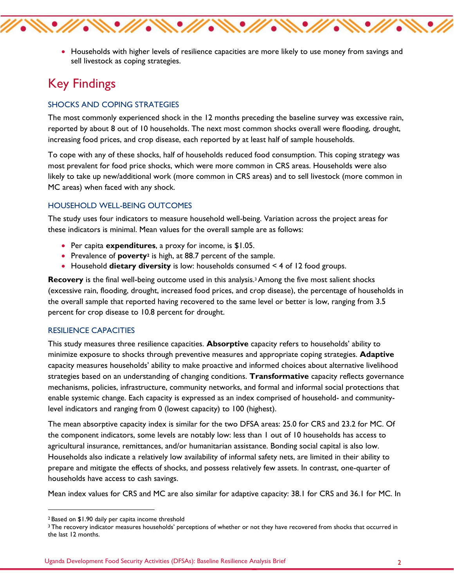

• Households with higher levels of resilience capacities are more likely to use money from savings and sell livestock as coping strategies.

## Key Findings

#### SHOCKS AND COPING STRATEGIES

The most commonly experienced shock in the 12 months preceding the baseline survey was excessive rain, reported by about 8 out of 10 households. The next most common shocks overall were flooding, drought, increasing food prices, and crop disease, each reported by at least half of sample households.

To cope with any of these shocks, half of households reduced food consumption. This coping strategy was most prevalent for food price shocks, which were more common in CRS areas. Households were also likely to take up new/additional work (more common in CRS areas) and to sell livestock (more common in MC areas) when faced with any shock.

#### HOUSEHOLD WELL-BEING OUTCOMES

The study uses four indicators to measure household well-being. Variation across the project areas for these indicators is minimal. Mean values for the overall sample are as follows:

- Per capita **expenditures**, a proxy for income, is \$1.05.
- Prevalence of **poverty**<sup>2</sup> is high, at 88.7 percent of the sample.
- Household **dietary diversity** is low: households consumed < 4 of 12 food groups.

**Recovery** is the final well-being outcome used in this analysis.<sup>3</sup> Among the five most salient shocks (excessive rain, flooding, drought, increased food prices, and crop disease), the percentage of households in the overall sample that reported having recovered to the same level or better is low, ranging from 3.5 percent for crop disease to 10.8 percent for drought.

#### RESILIENCE CAPACITIES

This study measures three resilience capacities. **Absorptive** capacity refers to households' ability to minimize exposure to shocks through preventive measures and appropriate coping strategies. **Adaptive** capacity measures households' ability to make proactive and informed choices about alternative livelihood strategies based on an understanding of changing conditions. **Transformative** capacity reflects governance mechanisms, policies, infrastructure, community networks, and formal and informal social protections that enable systemic change. Each capacity is expressed as an index comprised of household- and communitylevel indicators and ranging from 0 (lowest capacity) to 100 (highest).

The mean absorptive capacity index is similar for the two DFSA areas: 25.0 for CRS and 23.2 for MC. Of the component indicators, some levels are notably low: less than 1 out of 10 households has access to agricultural insurance, remittances, and/or humanitarian assistance. Bonding social capital is also low. Households also indicate a relatively low availability of informal safety nets, are limited in their ability to prepare and mitigate the effects of shocks, and possess relatively few assets. In contrast, one-quarter of households have access to cash savings.

Mean index values for CRS and MC are also similar for adaptive capacity: 38.1 for CRS and 36.1 for MC. In

<sup>2</sup> Based on \$1.90 daily per capita income threshold

<sup>&</sup>lt;sup>3</sup> The recovery indicator measures households' perceptions of whether or not they have recovered from shocks that occurred in the last 12 months.

Uganda Development Food Security Activities (DFSAs): Baseline Resilience Analysis Brief 2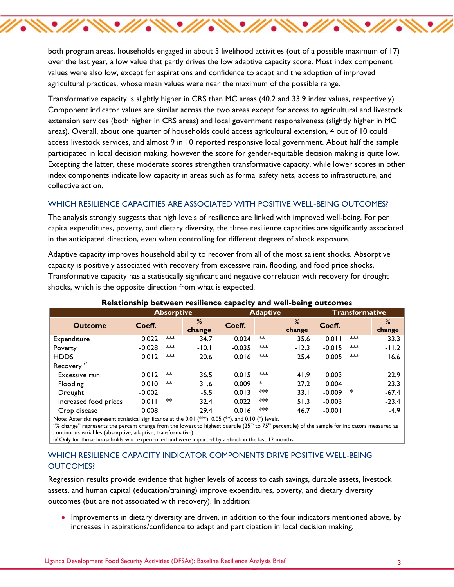both program areas, households engaged in about 3 livelihood activities (out of a possible maximum of 17) over the last year, a low value that partly drives the low adaptive capacity score. Most index component values were also low, except for aspirations and confidence to adapt and the adoption of improved agricultural practices, whose mean values were near the maximum of the possible range.

\\`*\\\`\\\`\\\`\\\`\\\`\\\`\\\`\*\\`

Transformative capacity is slightly higher in CRS than MC areas (40.2 and 33.9 index values, respectively). Component indicator values are similar across the two areas except for access to agricultural and livestock extension services (both higher in CRS areas) and local government responsiveness (slightly higher in MC areas). Overall, about one quarter of households could access agricultural extension, 4 out of 10 could access livestock services, and almost 9 in 10 reported responsive local government. About half the sample participated in local decision making, however the score for gender-equitable decision making is quite low. Excepting the latter, these moderate scores strengthen transformative capacity, while lower scores in other index components indicate low capacity in areas such as formal safety nets, access to infrastructure, and collective action.

#### WHICH RESILIENCE CAPACITIES ARE ASSOCIATED WITH POSITIVE WELL-BEING OUTCOMES?

The analysis strongly suggests that high levels of resilience are linked with improved well-being. For per capita expenditures, poverty, and dietary diversity, the three resilience capacities are significantly associated in the anticipated direction, even when controlling for different degrees of shock exposure.

Adaptive capacity improves household ability to recover from all of the most salient shocks. Absorptive capacity is positively associated with recovery from excessive rain, flooding, and food price shocks. Transformative capacity has a statistically significant and negative correlation with recovery for drought shocks, which is the opposite direction from what is expected.

|                        | <b>Absorptive</b> |     |             | <b>Adaptive</b> |      |             | Transformative |     |             |
|------------------------|-------------------|-----|-------------|-----------------|------|-------------|----------------|-----|-------------|
| <b>Outcome</b>         | Coeff.            |     | %<br>change | Coeff.          |      | %<br>change | Coeff.         |     | %<br>change |
| Expenditure            | 0.022             | *** | 34.7        | 0.024           | $**$ | 35.6        | 0.011          | *** | 33.3        |
| Poverty                | $-0.028$          | *** | $-10.1$     | $-0.035$        | ***  | $-12.3$     | $-0.015$       | *** | $-11.2$     |
| <b>HDDS</b>            | 0.012             | *** | 20.6        | 0.016           | ***  | 25.4        | 0.005          | *** | 16.6        |
| Recovery <sup>a/</sup> |                   |     |             |                 |      |             |                |     |             |
| Excessive rain         | 0.012             | **  | 36.5        | 0.015           | ***  | 41.9        | 0.003          |     | 22.9        |
| Flooding               | 0.010             | **  | 31.6        | 0.009           | ∗    | 27.2        | 0.004          |     | 23.3        |
| Drought                | $-0.002$          |     | $-5.5$      | 0.013           | ***  | 33.1        | $-0.009$       | ∗   | $-67.4$     |
| Increased food prices  | 0.011             | **  | 32.4        | 0.022           | ***  | 51.3        | $-0.003$       |     | $-23.4$     |
| Crop disease           | 0.008             |     | 29.4        | 0.016           | ***  | 46.7        | $-0.001$       |     | $-4.9$      |

#### **Relationship between resilience capacity and well-being outcomes**

Note: Asterisks represent statistical significance at the 0.01 (\*\*\*), 0.05 (\*\*), and 0.10 (\*) levels.

"% change" represents the percent change from the lowest to highest quartile (25<sup>th</sup> to 75<sup>th</sup> percentile) of the sample for indicators measured as continuous variables (absorptive, adaptive, transformative).

a/ Only for those households who experienced and were impacted by a shock in the last 12 months.

#### WHICH RESILIENCE CAPACITY INDICATOR COMPONENTS DRIVE POSITIVE WELL-BEING OUTCOMES?

Regression results provide evidence that higher levels of access to cash savings, durable assets, livestock assets, and human capital (education/training) improve expenditures, poverty, and dietary diversity outcomes (but are not associated with recovery). In addition:

 Improvements in dietary diversity are driven, in addition to the four indicators mentioned above, by increases in aspirations/confidence to adapt and participation in local decision making.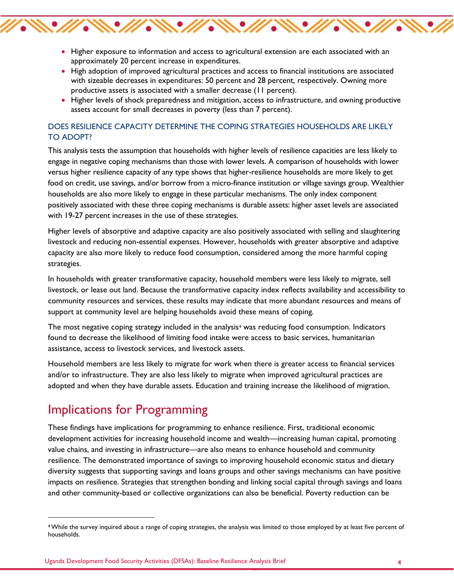• Higher exposure to information and access to agricultural extension are each associated with an approximately 20 percent increase in expenditures.

 $\mathscr{W}\ll\mathscr{W}\ll\mathscr{W}\ll\mathscr{W}$ 

- High adoption of improved agricultural practices and access to financial institutions are associated with sizeable decreases in expenditures: 50 percent and 28 percent, respectively. Owning more productive assets is associated with a smaller decrease (11 percent).
- Higher levels of shock preparedness and mitigation, access to infrastructure, and owning productive assets account for small decreases in poverty (less than 7 percent).

#### DOES RESILIENCE CAPACITY DETERMINE THE COPING STRATEGIES HOUSEHOLDS ARE LIKELY TO ADOPT?

This analysis tests the assumption that households with higher levels of resilience capacities are less likely to engage in negative coping mechanisms than those with lower levels. A comparison of households with lower versus higher resilience capacity of any type shows that higher-resilience households are more likely to get food on credit, use savings, and/or borrow from a micro-finance institution or village savings group. Wealthier households are also more likely to engage in these particular mechanisms. The only index component positively associated with these three coping mechanisms is durable assets: higher asset levels are associated with 19-27 percent increases in the use of these strategies.

Higher levels of absorptive and adaptive capacity are also positively associated with selling and slaughtering livestock and reducing non-essential expenses. However, households with greater absorptive and adaptive capacity are also more likely to reduce food consumption, considered among the more harmful coping strategies.

In households with greater transformative capacity, household members were less likely to migrate, sell livestock, or lease out land. Because the transformative capacity index reflects availability and accessibility to community resources and services, these results may indicate that more abundant resources and means of support at community level are helping households avoid these means of coping.

The most negative coping strategy included in the analysis<sup>4</sup> was reducing food consumption. Indicators found to decrease the likelihood of limiting food intake were access to basic services, humanitarian assistance, access to livestock services, and livestock assets.

Household members are less likely to migrate for work when there is greater access to financial services and/or to infrastructure. They are also less likely to migrate when improved agricultural practices are adopted and when they have durable assets. Education and training increase the likelihood of migration.

### Implications for Programming

These findings have implications for programming to enhance resilience. First, traditional economic development activities for increasing household income and wealth—increasing human capital, promoting value chains, and investing in infrastructure—are also means to enhance household and community resilience. The demonstrated importance of savings to improving household economic status and dietary diversity suggests that supporting savings and loans groups and other savings mechanisms can have positive impacts on resilience. Strategies that strengthen bonding and linking social capital through savings and loans and other community-based or collective organizations can also be beneficial. Poverty reduction can be

<sup>4</sup>While the survey inquired about a range of coping strategies, the analysis was limited to those employed by at least five percent of households.

Uganda Development Food Security Activities (DFSAs): Baseline Resilience Analysis Brief 4